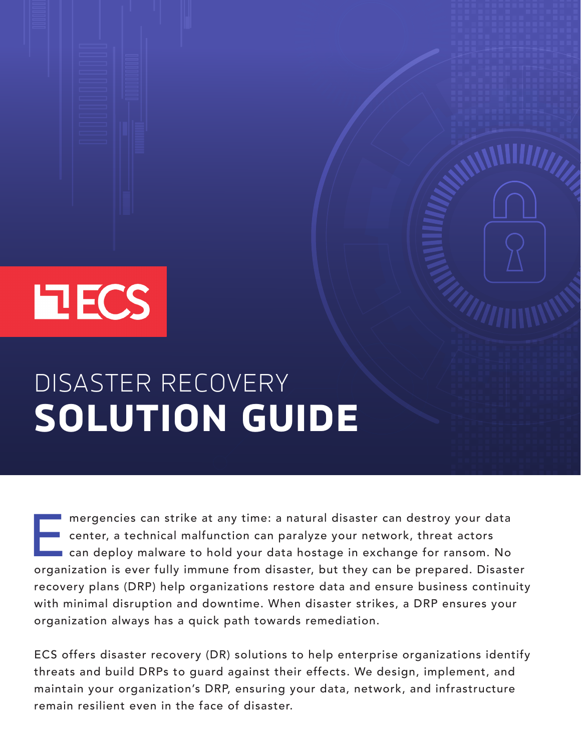# **EECS**

# DISASTER RECOVERY **SOLUTION GUIDE**

mergencies can strike at any time: a natural disaster can destroy your data<br>center, a technical malfunction can paralyze your network, threat actors<br>can deploy malware to hold your data hostage in exchange for ransom. No<br>o center, a technical malfunction can paralyze your network, threat actors can deploy malware to hold your data hostage in exchange for ransom. No organization is ever fully immune from disaster, but they can be prepared. Disaster recovery plans (DRP) help organizations restore data and ensure business continuity with minimal disruption and downtime. When disaster strikes, a DRP ensures your organization always has a quick path towards remediation.

ECS offers disaster recovery (DR) solutions to help enterprise organizations identify threats and build DRPs to guard against their effects. We design, implement, and maintain your organization's DRP, ensuring your data, network, and infrastructure remain resilient even in the face of disaster.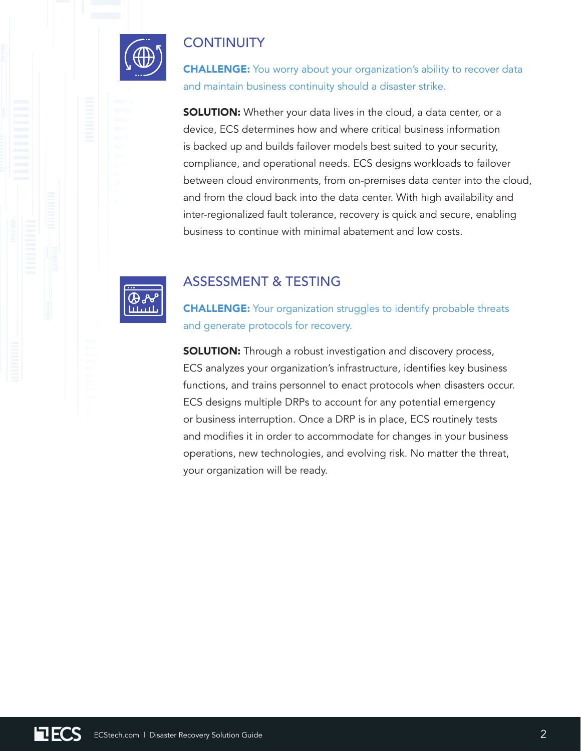

## **CONTINUITY**

**CHALLENGE:** You worry about your organization's ability to recover data and maintain business continuity should a disaster strike.

**SOLUTION:** Whether your data lives in the cloud, a data center, or a device, ECS determines how and where critical business information is backed up and builds failover models best suited to your security, compliance, and operational needs. ECS designs workloads to failover between cloud environments, from on-premises data center into the cloud, and from the cloud back into the data center. With high availability and inter-regionalized fault tolerance, recovery is quick and secure, enabling business to continue with minimal abatement and low costs.



#### ASSESSMENT & TESTING

**CHALLENGE:** Your organization struggles to identify probable threats and generate protocols for recovery.

**SOLUTION:** Through a robust investigation and discovery process, ECS analyzes your organization's infrastructure, identifies key business functions, and trains personnel to enact protocols when disasters occur. ECS designs multiple DRPs to account for any potential emergency or business interruption. Once a DRP is in place, ECS routinely tests and modifies it in order to accommodate for changes in your business operations, new technologies, and evolving risk. No matter the threat, your organization will be ready.